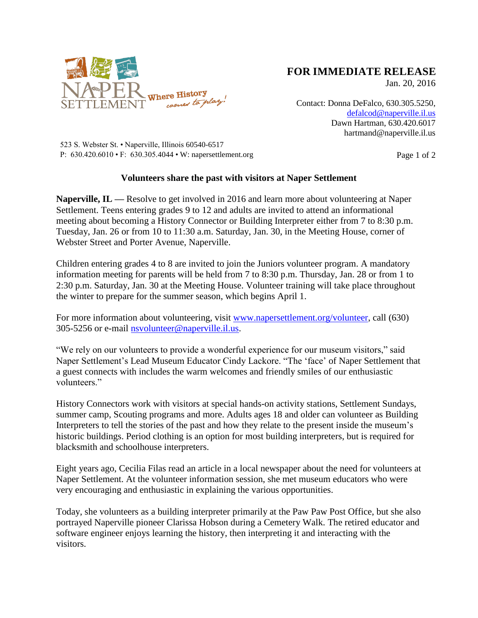

## **FOR IMMEDIATE RELEASE**

Jan. 20, 2016

Contact: Donna DeFalco, 630.305.5250, [defalcod@naperville.il.us](mailto:defalcod@naperville.il.us) Dawn Hartman, 630.420.6017 hartmand@naperville.il.us

523 S. Webster St. • Naperville, Illinois 60540-6517 P:  $630.420.6010 \cdot F$ :  $630.305.4044 \cdot W$ : napersettlement.org Page 1 of 2

## **Volunteers share the past with visitors at Naper Settlement**

**Naperville, IL —** Resolve to get involved in 2016 and learn more about volunteering at Naper Settlement. Teens entering grades 9 to 12 and adults are invited to attend an informational meeting about becoming a History Connector or Building Interpreter either from 7 to 8:30 p.m. Tuesday, Jan. 26 or from 10 to 11:30 a.m. Saturday, Jan. 30, in the Meeting House, corner of Webster Street and Porter Avenue, Naperville.

Children entering grades 4 to 8 are invited to join the Juniors volunteer program. A mandatory information meeting for parents will be held from 7 to 8:30 p.m. Thursday, Jan. 28 or from 1 to 2:30 p.m. Saturday, Jan. 30 at the Meeting House. Volunteer training will take place throughout the winter to prepare for the summer season, which begins April 1.

For more information about volunteering, visit [www.napersettlement.org/volunteer,](http://www.napersettlement.org/volunteer) call (630) 305-5256 or e-mail [nsvolunteer@naperville.il.us.](mailto:nsvolunteer@naperville.il.us)

"We rely on our volunteers to provide a wonderful experience for our museum visitors," said Naper Settlement's Lead Museum Educator Cindy Lackore. "The 'face' of Naper Settlement that a guest connects with includes the warm welcomes and friendly smiles of our enthusiastic volunteers."

History Connectors work with visitors at special hands-on activity stations, Settlement Sundays, summer camp, Scouting programs and more. Adults ages 18 and older can volunteer as Building Interpreters to tell the stories of the past and how they relate to the present inside the museum's historic buildings. Period clothing is an option for most building interpreters, but is required for blacksmith and schoolhouse interpreters.

Eight years ago, Cecilia Filas read an article in a local newspaper about the need for volunteers at Naper Settlement. At the volunteer information session, she met museum educators who were very encouraging and enthusiastic in explaining the various opportunities.

Today, she volunteers as a building interpreter primarily at the Paw Paw Post Office, but she also portrayed Naperville pioneer Clarissa Hobson during a Cemetery Walk. The retired educator and software engineer enjoys learning the history, then interpreting it and interacting with the visitors.